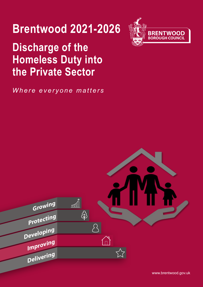# **Brentwood 2021-2026**

## **Discharge of the Homeless Duty into** the Private Sector

Where everyone matters





www.brentwood.gov.uk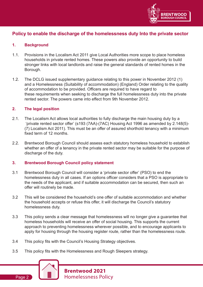

### **Policy to enable the discharge of the homelessness duty Into the private sector**

#### **1. Background**

- 1.1. Provisions in the Localism Act 2011 give Local Authorities more scope to place homeless households in private rented homes. These powers also provide an opportunity to build stronger links with local landlords and raise the general standards of rented homes in the Borough.
- 1.2. The DCLG issued supplementary guidance relating to this power in November 2012 (1) and a Homelessness (Suitability of accommodation) (England) Order relating to the quality of accommodation to be provided. Officers are required to have regard to these requirements when seeking to discharge the full homelessness duty into the private rented sector. The powers came into effect from 9th November 2012.

#### **2. The legal position**

- 2.1. The Localism Act allows local authorities to fully discharge the main housing duty by a 'private rented sector offer' (s193 (7AA)-(7AC) Housing Act 1996 as amended by 2.148(5)- (7) Localism Act 2011). This must be an offer of assured shorthold tenancy with a minimum fixed term of 12 months.
- 2.2. Brentwood Borough Council should assess each statutory homeless household to establish whether an offer of a tenancy in the private rented sector may be suitable for the purpose of discharge of the duty.

#### **3. Brentwood Borough Council policy statement**

- 3.1 Brentwood Borough Council will consider a 'private sector offer' (PSO) to end the homelessness duty in all cases. If an options officer considers that a PSO is appropriate to the needs of the applicant, and if suitable accommodation can be secured, then such an offer will routinely be made.
- 3.2 This will be considered the household's one offer of suitable accommodation and whether the household accepts or refuse this offer, it will discharge the Council's statutory homelessness duty.
- 3.3 This policy sends a clear message that homelessness will no longer give a guarantee that homeless households will receive an offer of social housing. This supports the current approach to preventing homelessness wherever possible, and to encourage applicants to apply for housing through the housing register route, rather than the homelessness route.
- 3.4 This policy fits with the Council's Housing Strategy objectives.
- 3.5 This policy fits with the Homelessness and Rough Sleepers strategy.



Page 2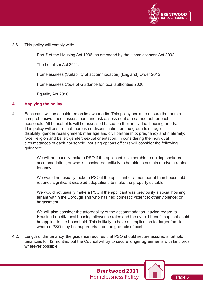

- **Page** 3.6 This policy will comply with:
	- Part 7 of the Housing Act 1996, as amended by the Homelessness Act 2002.
	- The Localism Act 2011.
	- · Homelessness (Suitability of accommodation) (England) Order 2012.
	- Homelessness Code of Guidance for local authorities 2006.
	- Equality Act 2010.

#### **4. Applying the policy**

- 4.1. Each case will be considered on its own merits. This policy seeks to ensure that both a comprehensive needs assessment and risk assessment are carried out for each household. All households will be assessed based on their individual housing needs. This policy will ensure that there is no discrimination on the grounds of: age; disability; gender reassignment; marriage and civil partnership; pregnancy and maternity; race; religion and belief; gender; sexual orientation. In considering the individual circumstances of each household, housing options officers will consider the following guidance:
	- We will not usually make a PSO if the applicant is vulnerable, requiring sheltered accommodation, or who is considered unlikely to be able to sustain a private rented tenancy.
	- We would not usually make a PSO if the applicant or a member of their household requires significant disabled adaptations to make the property suitable.
	- We would not usually make a PSO if the applicant was previously a social housing tenant within the Borough and who has fled domestic violence; other violence; or harassment.
	- We will also consider the affordability of the accommodation, having regard to Housing benefit/Local housing allowance rates and the overall benefit cap that could be applied to the household. This is likely to have an implication for larger families where a PSO may be inappropriate on the grounds of cost.

**Brentwood 2021** Homelessness Policy

4.2. Length of the tenancy, the guidance requires that PSO should secure assured shorthold tenancies for 12 months, but the Council will try to secure longer agreements with landlords wherever possible.



Page 3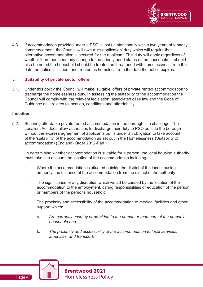

4.3. If accommodation provided under a PSO is lost unintentionally within two years of tenancy commencement, the Council will owe a 're-application' duty which will require that alternative accommodation is secured for the applicant. This duty will apply regardless of whether there has been any change to the priority need status of the household. It should also be noted the household should be treated as threatened with homelessness from the date the notice is issued, and treated as homeless from the date the notice expires.

#### **5. Suitability of private sector offers**

5.1. Under this policy the Council will make 'suitable' offers of private rented accommodation to discharge the homelessness duty. In assessing the suitability of the accommodation the Council will comply with the relevant legislation, associated case law and the Code of Guidance as it relates to location, conditions and affordability.

#### **Location**

5.2. Securing affordable private rented accommodation in the borough is a challenge. The Localism Act does allow authorities to discharge their duty to PSO outside the borough without the express agreement of applicants but is under an obligation to take account of the 'suitability' of the accommodation as set out in the Homelessness (Suitability of accommodation) (England) Order 2012-Part 1.

'In determining whether accommodation is suitable for a person, the local housing authority must take into account the location of the accommodation including:

- Where the accommodation is situated outside the district of the local housing authority, the distance of the accommodation from the district of the authority
- The significance of any disruption which would be caused by the location of the accommodation to the employment, caring responsibilities or education of the person or members of the persons household
- The proximity and accessibility of the accommodation to medical facilities and other support which:
	- *a. Are currently used by or provided to the person or members of the person's household and*
	- *b. The proximity and accessibility of the accommodation to local services, amenities, and transport.*

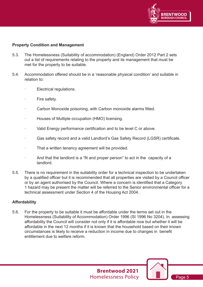

#### **Property Condition and Management**

- 5.3. The Homelessness (Suitability of accommodation) (England) Order 2012 Part 2 sets out a list of requirements relating to the property and its management that must be met for the property to be suitable.
- 5.4. Accommodation offered should be in a 'reasonable physical condition' and suitable in relation to:
	- Electrical regulations.
	- Fire safety.
	- Carbon Monoxide poisoning, with Carbon monoxide alarms fitted.
	- Houses of Multiple occupation (HMO) licensing.
	- Valid Energy performance certification and to be level C or above.
	- Gas safety record and a valid Landlord's Gas Safety Record (LGSR) certificate.
	- That a written tenancy agreement will be provided.
	- And that the landlord is a "fit and proper person" to act in the capacity of a landlord.
- 5.5. There is no requirement in the suitability order for a technical inspection to be undertaken by a qualified officer but it is recommended that all properties are visited by a Council officer or by an agent authorised by the Council. Where a concern is identified that a Category 1 hazard may be present the matter will be referred to the Senior environmental officer for a technical assessment under Section 4 of the Housing Act 2004.

#### **Affordability**

5.6. For the property to be suitable it must be affordable under the terms set out in the Homelessness (Suitability of Accommodation) Order 1996 (SI 1996 No 3204). In assessing affordability the Council will consider not only if it is affordable now but whether it will be affordable in the next 12 months if it is known that the household based on their known circumstances is likely to receive a reduction in income due to changes in benefit entitlement due to welfare reform.



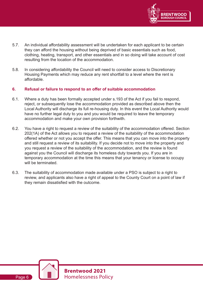

- 5.7. An individual affordability assessment will be undertaken for each applicant to be certain they can afford the housing without being deprived of basic essentials such as food, clothing, heating, transport, and other essentials and in so doing will take account of cost resulting from the location of the accommodation.
- 5.8. In considering affordability the Council will need to consider access to Discretionary Housing Payments which may reduce any rent shortfall to a level where the rent is affordable.

#### **6. Refusal or failure to respond to an offer of suitable accommodation**

- 6.1. Where a duty has been formally accepted under s.193 of the Act if you fail to respond, reject, or subsequently lose the accommodation provided as described above then the Local Authority will discharge its full re-housing duty. In this event the Local Authority would have no further legal duty to you and you would be required to leave the temporary accommodation and make your own provision forthwith.
- 6.2. You have a right to request a review of the suitability of the accommodation offered. Section 202(1A) of the Act allows you to request a review of the suitability of the accommodation offered whether or not you accept the offer. This means that you can move into the property and still request a review of its suitability. If you decide not to move into the property and you request a review of the suitability of the accommodation, and the review is found against you the Council will discharge its homeless duty towards you. If you are in temporary accommodation at the time this means that your tenancy or license to occupy will be terminated.
- 6.3. The suitability of accommodation made available under a PSO is subject to a right to review, and applicants also have a right of appeal to the County Court on a point of law if they remain dissatisfied with the outcome.